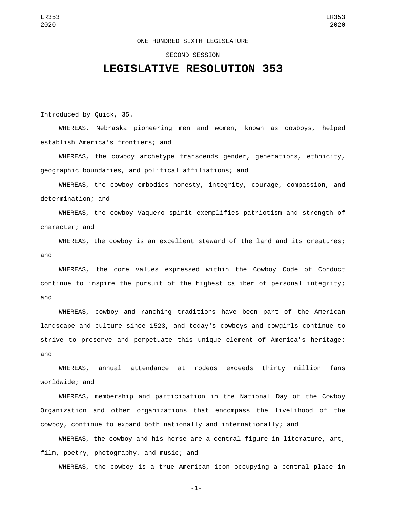## ONE HUNDRED SIXTH LEGISLATURE

SECOND SESSION

## **LEGISLATIVE RESOLUTION 353**

Introduced by Quick, 35.

WHEREAS, Nebraska pioneering men and women, known as cowboys, helped establish America's frontiers; and

WHEREAS, the cowboy archetype transcends gender, generations, ethnicity, geographic boundaries, and political affiliations; and

WHEREAS, the cowboy embodies honesty, integrity, courage, compassion, and determination; and

WHEREAS, the cowboy Vaquero spirit exemplifies patriotism and strength of character; and

WHEREAS, the cowboy is an excellent steward of the land and its creatures; and

WHEREAS, the core values expressed within the Cowboy Code of Conduct continue to inspire the pursuit of the highest caliber of personal integrity; and

WHEREAS, cowboy and ranching traditions have been part of the American landscape and culture since 1523, and today's cowboys and cowgirls continue to strive to preserve and perpetuate this unique element of America's heritage; and

WHEREAS, annual attendance at rodeos exceeds thirty million fans worldwide; and

WHEREAS, membership and participation in the National Day of the Cowboy Organization and other organizations that encompass the livelihood of the cowboy, continue to expand both nationally and internationally; and

WHEREAS, the cowboy and his horse are a central figure in literature, art, film, poetry, photography, and music; and

WHEREAS, the cowboy is a true American icon occupying a central place in

-1-